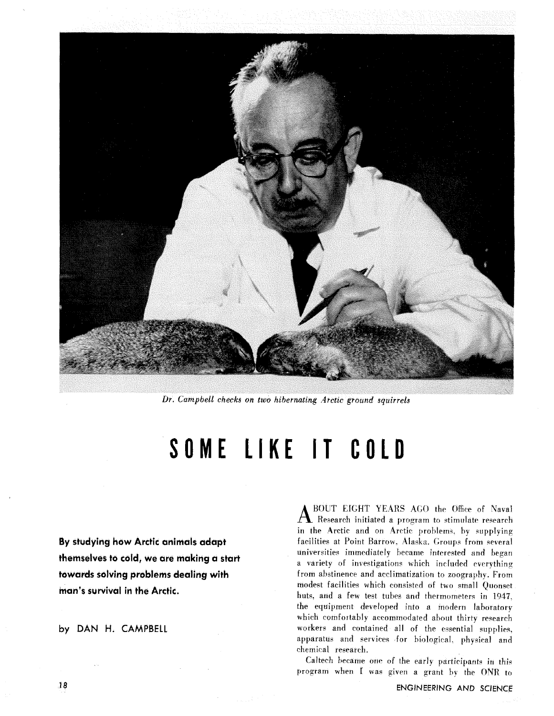

*Dr. Campbell checks on two hibernating Arctic ground squirrels* 

# SOME LIKE IT COLD

**By studying how Arctic animals adapt themselves to cold, we are making a start towards solving problems dealing with hian's survival in the Arctic.** 

**by DAN H. CAMPBELL** 

**A** BOUT EIGHT YEARS **ACO** the Office of Naval Research initiated a prograrn to stimulate research in the Arctic and on Arctic problems, by supplying facilities at Point Barrow, Alaska. Groups from several universities immediately became interested and began a variety of investigations which included everything from abstinence and acclimatization to zoography. From modest facilities which consisted of two small Ouonset huts. and a few test tubes and thermometers in 1947. the equipment developed into a modern laboratory which comfortably accommodated about thirty research workers and contained all of the essential supplies, apparatus and services for biological. physical and chemical research.

Caltech became one of the early participants in this program when I was given a grant by the ONR to